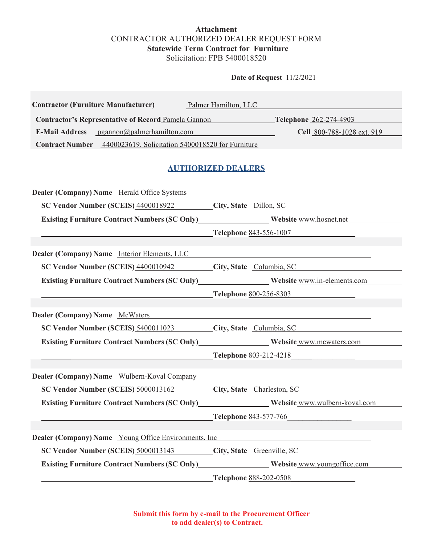## **Attachment** CONTRACTOR AUTHORIZED DEALER REQUEST FORM **Statewide Term Contract for Furniture** Solicitation: FPB 5400018520

**Date of Request**  $\frac{11}{22021}$ 

| <b>Contractor (Furniture Manufacturer)</b>                                              | Palmer Hamilton, LLC                                                                                                 |
|-----------------------------------------------------------------------------------------|----------------------------------------------------------------------------------------------------------------------|
| <b>Contractor's Representative of Record Pamela Gannon</b>                              | Telephone 262-274-4903                                                                                               |
| E-Mail Address pgannon@palmerhamilton.com                                               | Cell 800-788-1028 ext. 919                                                                                           |
| Contract Number 4400023619, Solicitation 5400018520 for Furniture                       |                                                                                                                      |
|                                                                                         | <b>AUTHORIZED DEALERS</b>                                                                                            |
| Dealer (Company) Name Herald Office Systems                                             |                                                                                                                      |
| SC Vendor Number (SCEIS) 4400018922 City, State Dillon, SC                              | <u> 1980 - Jan Samuel Barbara, politik eta politik eta politik eta politik eta politik eta politik eta politik e</u> |
| Existing Furniture Contract Numbers (SC Only)<br>Website www.hosnet.net                 |                                                                                                                      |
|                                                                                         | <b>Telephone 843-556-1007</b>                                                                                        |
|                                                                                         |                                                                                                                      |
| <b>Dealer (Company) Name</b> Interior Elements, LLC                                     |                                                                                                                      |
| SC Vendor Number (SCEIS) 4400010942 City, State Columbia, SC                            |                                                                                                                      |
| Existing Furniture Contract Numbers (SC Only) Website www.in-elements.com               |                                                                                                                      |
|                                                                                         | Telephone 800-256-8303                                                                                               |
| <b>Dealer (Company) Name</b> McWaters                                                   |                                                                                                                      |
|                                                                                         | SC Vendor Number (SCEIS) 5400011023 City, State Columbia, SC                                                         |
| Existing Furniture Contract Numbers (SC Only)__________________Website_www.mcwaters.com |                                                                                                                      |
|                                                                                         | Telephone 803-212-4218                                                                                               |
|                                                                                         |                                                                                                                      |
| Dealer (Company) Name Wulbern-Koval Company                                             |                                                                                                                      |
| SC Vendor Number (SCEIS) 5000013162                                                     | City, State Charleston, SC                                                                                           |
|                                                                                         | Existing Furniture Contract Numbers (SC Only)<br>Website www.wulbern-koval.com                                       |
|                                                                                         | Telephone 843-577-766                                                                                                |
|                                                                                         |                                                                                                                      |
| <b>Dealer (Company) Name</b> Young Office Environments, Inc.                            | <u> 1989 - Andrea Andrew Maria (h. 1989).</u>                                                                        |
|                                                                                         | SC Vendor Number (SCEIS) 5000013143 City, State Greenville, SC                                                       |
| Existing Furniture Contract Numbers (SC Only) Website www.youngoffice.com               |                                                                                                                      |
|                                                                                         | Telephone 888-202-0508                                                                                               |